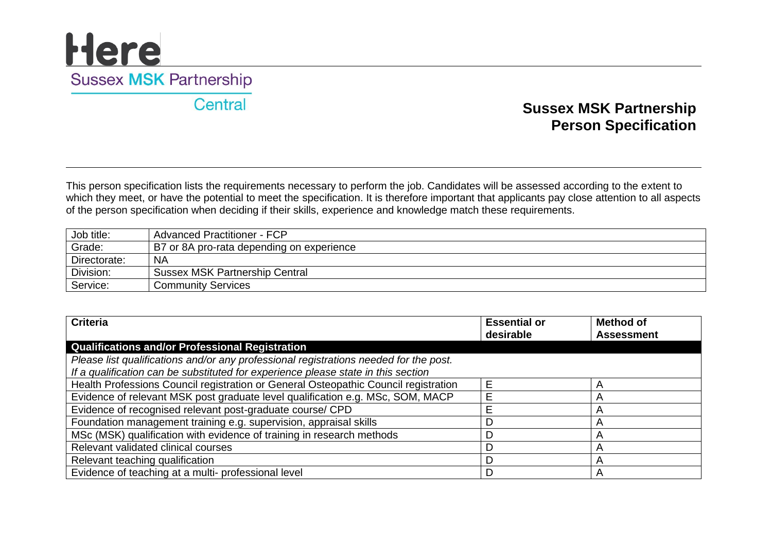### <u>Here</u> **Sussex MSK Partnership**

Central

### **Sussex MSK Partnership Person Specification**

This person specification lists the requirements necessary to perform the job. Candidates will be assessed according to the extent to which they meet, or have the potential to meet the specification. It is therefore important that applicants pay close attention to all aspects of the person specification when deciding if their skills, experience and knowledge match these requirements.

| Job title:   | Advanced Practitioner - FCP               |
|--------------|-------------------------------------------|
| Grade:       | B7 or 8A pro-rata depending on experience |
| Directorate: | <b>NA</b>                                 |
| Division:    | <b>Sussex MSK Partnership Central</b>     |
| Service:     | <b>Community Services</b>                 |

| <b>Criteria</b>                                                                       | <b>Essential or</b> | Method of         |
|---------------------------------------------------------------------------------------|---------------------|-------------------|
|                                                                                       | desirable           | <b>Assessment</b> |
| <b>Qualifications and/or Professional Registration</b>                                |                     |                   |
| Please list qualifications and/or any professional registrations needed for the post. |                     |                   |
| If a qualification can be substituted for experience please state in this section     |                     |                   |
| Health Professions Council registration or General Osteopathic Council registration   | F                   | A                 |
| Evidence of relevant MSK post graduate level qualification e.g. MSc, SOM, MACP        |                     |                   |
| Evidence of recognised relevant post-graduate course/ CPD                             |                     |                   |
| Foundation management training e.g. supervision, appraisal skills                     |                     | Α                 |
| MSc (MSK) qualification with evidence of training in research methods                 |                     |                   |
| Relevant validated clinical courses                                                   |                     |                   |
| Relevant teaching qualification                                                       |                     | A                 |
| Evidence of teaching at a multi- professional level                                   |                     |                   |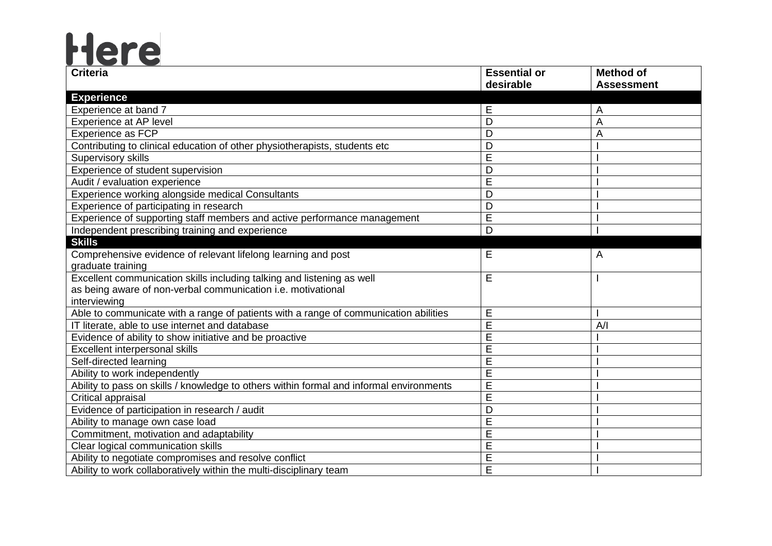# Here

| <b>Criteria</b>                                                                         | <b>Essential or</b> | <b>Method of</b>  |
|-----------------------------------------------------------------------------------------|---------------------|-------------------|
|                                                                                         | desirable           | <b>Assessment</b> |
| <b>Experience</b>                                                                       |                     |                   |
| Experience at band 7                                                                    | Е                   | A                 |
| Experience at AP level                                                                  | D                   | A                 |
| Experience as FCP                                                                       | D                   | A                 |
| Contributing to clinical education of other physiotherapists, students etc              | D                   |                   |
| Supervisory skills                                                                      | E                   |                   |
| Experience of student supervision                                                       | D                   |                   |
| Audit / evaluation experience                                                           | E                   |                   |
| Experience working alongside medical Consultants                                        | D                   |                   |
| Experience of participating in research                                                 | D                   |                   |
| Experience of supporting staff members and active performance management                | E                   |                   |
| Independent prescribing training and experience                                         | D                   |                   |
| <b>Skills</b>                                                                           |                     |                   |
| Comprehensive evidence of relevant lifelong learning and post                           | E                   | A                 |
| graduate training                                                                       |                     |                   |
| Excellent communication skills including talking and listening as well                  | E                   |                   |
| as being aware of non-verbal communication i.e. motivational                            |                     |                   |
| interviewing                                                                            |                     |                   |
| Able to communicate with a range of patients with a range of communication abilities    | E                   |                   |
| IT literate, able to use internet and database                                          | E                   | A/I               |
| Evidence of ability to show initiative and be proactive                                 | E                   |                   |
| Excellent interpersonal skills                                                          | E                   |                   |
| Self-directed learning                                                                  | E                   |                   |
| Ability to work independently                                                           | E                   |                   |
| Ability to pass on skills / knowledge to others within formal and informal environments | E                   |                   |
| Critical appraisal                                                                      | E                   |                   |
| Evidence of participation in research / audit                                           | D                   |                   |
| Ability to manage own case load                                                         | E                   |                   |
| Commitment, motivation and adaptability                                                 | E                   |                   |
| Clear logical communication skills                                                      | E                   |                   |
| Ability to negotiate compromises and resolve conflict                                   | E                   |                   |
| Ability to work collaboratively within the multi-disciplinary team                      | E                   |                   |